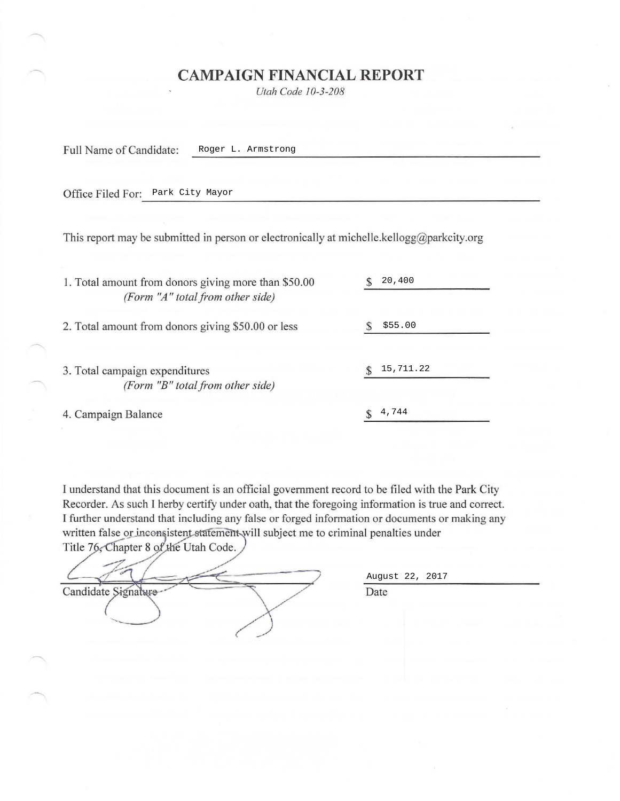## **CAMPAIGN FINANCIAL REPORT**

*Utah Code 10-3-208* 

Full Name of Candidate:

Roger L. Armstrong

Office Filed For: Park City Mayor Park City Mayor

This report may be submitted in person or electronically at michelle.kellogg@parkcity.org

| 1. Total amount from donors giving more than \$50.00<br>(Form "A" total from other side) | 20,400    |
|------------------------------------------------------------------------------------------|-----------|
| 2. Total amount from donors giving \$50.00 or less                                       | \$55.00   |
| 3. Total campaign expenditures                                                           | 15,711.22 |
| (Form "B" total from other side)                                                         |           |
| 4. Campaign Balance                                                                      | 4,744     |

I understand that this document is an official government record to be filed with the Park City Recorder. As such I herby certify under oath, that the foregoing information is true and correct. I further understand that including any false or forged information or documents or making any written false or inconsistent statement will subject me to criminal penalties under

Title 76, Chapter 8 of the Utah Code. Candidate Signalure

August 22, 2017

Date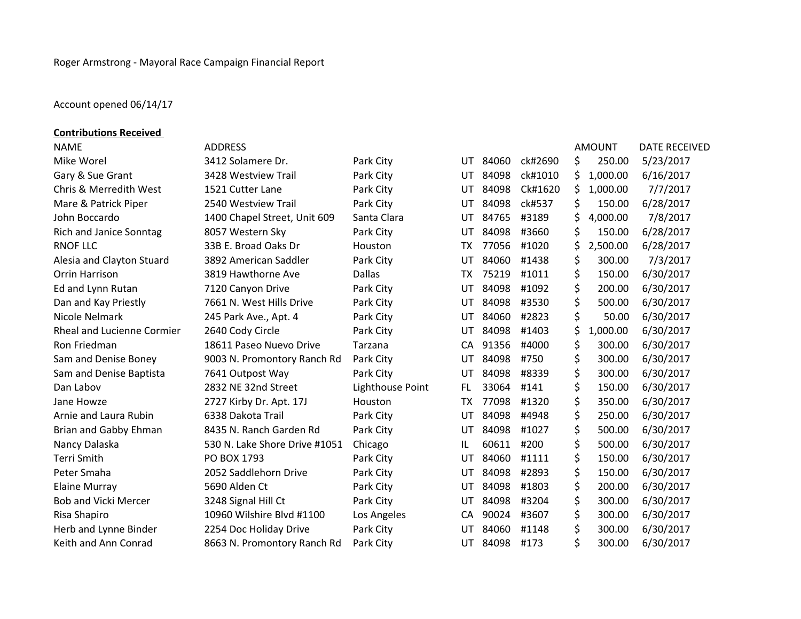## Account opened 06/14/17

| <b>Contributions Received</b>     |                               |                  |     |       |         |    |               |                      |
|-----------------------------------|-------------------------------|------------------|-----|-------|---------|----|---------------|----------------------|
| <b>NAME</b>                       | <b>ADDRESS</b>                |                  |     |       |         |    | <b>AMOUNT</b> | <b>DATE RECEIVED</b> |
| Mike Worel                        | 3412 Solamere Dr.             | Park City        | UT. | 84060 | ck#2690 | \$ | 250.00        | 5/23/2017            |
| Gary & Sue Grant                  | 3428 Westview Trail           | Park City        | UT  | 84098 | ck#1010 | \$ | 1,000.00      | 6/16/2017            |
| <b>Chris &amp; Merredith West</b> | 1521 Cutter Lane              | Park City        | UT  | 84098 | Ck#1620 | Ś  | 1,000.00      | 7/7/2017             |
| Mare & Patrick Piper              | 2540 Westview Trail           | Park City        | UT  | 84098 | ck#537  | \$ | 150.00        | 6/28/2017            |
| John Boccardo                     | 1400 Chapel Street, Unit 609  | Santa Clara      | UT  | 84765 | #3189   | \$ | 4,000.00      | 7/8/2017             |
| Rich and Janice Sonntag           | 8057 Western Sky              | Park City        | UT  | 84098 | #3660   | \$ | 150.00        | 6/28/2017            |
| <b>RNOF LLC</b>                   | 33B E. Broad Oaks Dr          | Houston          | TX  | 77056 | #1020   | Ś  | 2,500.00      | 6/28/2017            |
| Alesia and Clayton Stuard         | 3892 American Saddler         | Park City        | UT  | 84060 | #1438   | \$ | 300.00        | 7/3/2017             |
| Orrin Harrison                    | 3819 Hawthorne Ave            | <b>Dallas</b>    | TX  | 75219 | #1011   | \$ | 150.00        | 6/30/2017            |
| Ed and Lynn Rutan                 | 7120 Canyon Drive             | Park City        | UT  | 84098 | #1092   | \$ | 200.00        | 6/30/2017            |
| Dan and Kay Priestly              | 7661 N. West Hills Drive      | Park City        | UT  | 84098 | #3530   | \$ | 500.00        | 6/30/2017            |
| Nicole Nelmark                    | 245 Park Ave., Apt. 4         | Park City        | UT  | 84060 | #2823   | \$ | 50.00         | 6/30/2017            |
| Rheal and Lucienne Cormier        | 2640 Cody Circle              | Park City        | UT  | 84098 | #1403   | \$ | 1,000.00      | 6/30/2017            |
| Ron Friedman                      | 18611 Paseo Nuevo Drive       | Tarzana          | CA  | 91356 | #4000   | \$ | 300.00        | 6/30/2017            |
| Sam and Denise Boney              | 9003 N. Promontory Ranch Rd   | Park City        | UT  | 84098 | #750    | \$ | 300.00        | 6/30/2017            |
| Sam and Denise Baptista           | 7641 Outpost Way              | Park City        | UT  | 84098 | #8339   | \$ | 300.00        | 6/30/2017            |
| Dan Labov                         | 2832 NE 32nd Street           | Lighthouse Point | FL. | 33064 | #141    | \$ | 150.00        | 6/30/2017            |
| Jane Howze                        | 2727 Kirby Dr. Apt. 17J       | Houston          | TX  | 77098 | #1320   | \$ | 350.00        | 6/30/2017            |
| Arnie and Laura Rubin             | 6338 Dakota Trail             | Park City        | UT  | 84098 | #4948   | \$ | 250.00        | 6/30/2017            |
| Brian and Gabby Ehman             | 8435 N. Ranch Garden Rd       | Park City        | UT  | 84098 | #1027   | \$ | 500.00        | 6/30/2017            |
| Nancy Dalaska                     | 530 N. Lake Shore Drive #1051 | Chicago          | IL  | 60611 | #200    | \$ | 500.00        | 6/30/2017            |
| <b>Terri Smith</b>                | PO BOX 1793                   | Park City        | UT  | 84060 | #1111   | \$ | 150.00        | 6/30/2017            |
| Peter Smaha                       | 2052 Saddlehorn Drive         | Park City        | UT  | 84098 | #2893   | \$ | 150.00        | 6/30/2017            |
| <b>Elaine Murray</b>              | 5690 Alden Ct                 | Park City        | UT  | 84098 | #1803   | \$ | 200.00        | 6/30/2017            |
| <b>Bob and Vicki Mercer</b>       | 3248 Signal Hill Ct           | Park City        | UT  | 84098 | #3204   | \$ | 300.00        | 6/30/2017            |
| Risa Shapiro                      | 10960 Wilshire Blvd #1100     | Los Angeles      | CA  | 90024 | #3607   | \$ | 300.00        | 6/30/2017            |
| Herb and Lynne Binder             | 2254 Doc Holiday Drive        | Park City        | UT  | 84060 | #1148   | \$ | 300.00        | 6/30/2017            |
| Keith and Ann Conrad              | 8663 N. Promontory Ranch Rd   | Park City        | UT. | 84098 | #173    | Ś  | 300.00        | 6/30/2017            |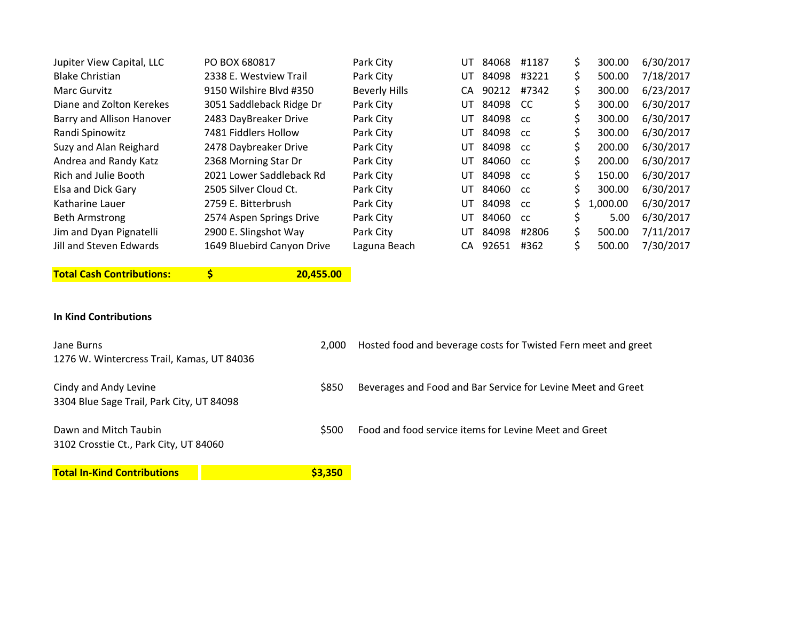| Jupiter View Capital, LLC   | PO BOX 680817              | Park City            | UT  | 84068 | #1187         | S. | 300.00   | 6/30/2017 |
|-----------------------------|----------------------------|----------------------|-----|-------|---------------|----|----------|-----------|
| <b>Blake Christian</b>      | 2338 E. Westview Trail     | Park City            | UT  | 84098 | #3221         | Ś. | 500.00   | 7/18/2017 |
| Marc Gurvitz                | 9150 Wilshire Blvd #350    | <b>Beverly Hills</b> | CА  | 90212 | #7342         |    | 300.00   | 6/23/2017 |
| Diane and Zolton Kerekes    | 3051 Saddleback Ridge Dr   | Park City            | UT  | 84098 | -CC           |    | 300.00   | 6/30/2017 |
| Barry and Allison Hanover   | 2483 DayBreaker Drive      | Park City            | UT  | 84098 | <b>CC</b>     |    | 300.00   | 6/30/2017 |
| Randi Spinowitz             | 7481 Fiddlers Hollow       | Park City            | UT  | 84098 | -cc           |    | 300.00   | 6/30/2017 |
| Suzy and Alan Reighard      | 2478 Daybreaker Drive      | Park City            | UT  | 84098 | <sub>cc</sub> |    | 200.00   | 6/30/2017 |
| Andrea and Randy Katz       | 2368 Morning Star Dr       | Park City            | UT  | 84060 | <b>CC</b>     |    | 200.00   | 6/30/2017 |
| <b>Rich and Julie Booth</b> | 2021 Lower Saddleback Rd   | Park City            | UT  | 84098 | -cc           |    | 150.00   | 6/30/2017 |
| Elsa and Dick Gary          | 2505 Silver Cloud Ct.      | Park City            | UT  | 84060 | -cc           |    | 300.00   | 6/30/2017 |
| Katharine Lauer             | 2759 E. Bitterbrush        | Park City            | UT  | 84098 | <b>CC</b>     | Ś. | 1,000.00 | 6/30/2017 |
| <b>Beth Armstrong</b>       | 2574 Aspen Springs Drive   | Park City            | UT  | 84060 | cc            |    | 5.00     | 6/30/2017 |
| Jim and Dyan Pignatelli     | 2900 E. Slingshot Way      | Park City            | UT  | 84098 | #2806         | Ś. | 500.00   | 7/11/2017 |
| Jill and Steven Edwards     | 1649 Bluebird Canyon Drive | Laguna Beach         | CA. | 92651 | #362          |    | 500.00   | 7/30/2017 |
|                             |                            |                      |     |       |               |    |          |           |

**Total Cash Contributions:** 

**20,455.00** 

## **In Kind Contributions**

| Jane Burns<br>1276 W. Wintercress Trail, Kamas, UT 84036                 | 2.000   | Hosted food and beverage costs for Twisted Fern meet and greet |
|--------------------------------------------------------------------------|---------|----------------------------------------------------------------|
| Cindy and Andy Levine<br>3304 Blue Sage Trail, Park City, UT 84098       | \$850   | Beverages and Food and Bar Service for Levine Meet and Greet   |
| Dawn and Mitch Taubin<br>\$500<br>3102 Crosstie Ct., Park City, UT 84060 |         | Food and food service items for Levine Meet and Greet          |
| <b>Total In-Kind Contributions</b>                                       | \$3,350 |                                                                |